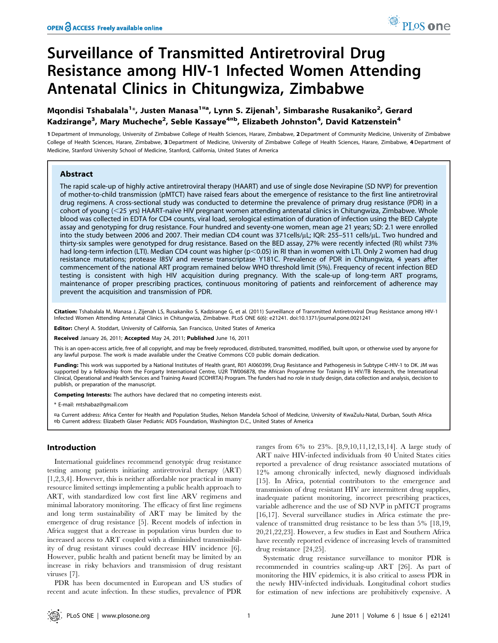# Surveillance of Transmitted Antiretroviral Drug Resistance among HIV-1 Infected Women Attending Antenatal Clinics in Chitungwiza, Zimbabwe

# Mqondisi Tshabalala<sup>1</sup>\*, Justen Manasa<sup>1¤a</sup>, Lynn S. Zijenah<sup>1</sup>, Simbarashe Rusakaniko<sup>2</sup>, Gerard Kadzirange<sup>3</sup>, Mary Mucheche<sup>2</sup>, Seble Kassaye<sup>4¤b</sup>, Elizabeth Johnston<sup>4</sup>, David Katzenstein<sup>4</sup>

1 Department of Immunology, University of Zimbabwe College of Health Sciences, Harare, Zimbabwe, 2 Department of Community Medicine, University of Zimbabwe College of Health Sciences, Harare, Zimbabwe, 3 Department of Medicine, University of Zimbabwe College of Health Sciences, Harare, Zimbabwe, 4 Department of Medicine, Stanford University School of Medicine, Stanford, California, United States of America

#### Abstract

The rapid scale-up of highly active antiretroviral therapy (HAART) and use of single dose Nevirapine (SD NVP) for prevention of mother-to-child transmission (pMTCT) have raised fears about the emergence of resistance to the first line antiretroviral drug regimens. A cross-sectional study was conducted to determine the prevalence of primary drug resistance (PDR) in a cohort of young (<25 yrs) HAART-naïve HIV pregnant women attending antenatal clinics in Chitungwiza, Zimbabwe. Whole blood was collected in EDTA for CD4 counts, viral load, serological estimation of duration of infection using the BED Calypte assay and genotyping for drug resistance. Four hundred and seventy-one women, mean age 21 years; SD: 2.1 were enrolled into the study between 2006 and 2007. Their median CD4 count was 371cells/µL; IQR: 255-511 cells/µL. Two hundred and thirty-six samples were genotyped for drug resistance. Based on the BED assay, 27% were recently infected (RI) whilst 73% had long-term infection (LTI). Median CD4 count was higher (p<0.05) in RI than in women with LTI. Only 2 women had drug resistance mutations; protease I85V and reverse transcriptase Y181C. Prevalence of PDR in Chitungwiza, 4 years after commencement of the national ART program remained below WHO threshold limit (5%). Frequency of recent infection BED testing is consistent with high HIV acquisition during pregnancy. With the scale-up of long-term ART programs, maintenance of proper prescribing practices, continuous monitoring of patients and reinforcement of adherence may prevent the acquisition and transmission of PDR.

Citation: Tshabalala M, Manasa J, Zijenah LS, Rusakaniko S, Kadzirange G, et al. (2011) Surveillance of Transmitted Antiretroviral Drug Resistance among HIV-1 Infected Women Attending Antenatal Clinics in Chitungwiza, Zimbabwe. PLoS ONE 6(6): e21241. doi:10.1371/journal.pone.0021241

Editor: Cheryl A. Stoddart, University of California, San Francisco, United States of America

Received January 26, 2011; Accepted May 24, 2011; Published June 16, 2011

This is an open-access article, free of all copyright, and may be freely reproduced, distributed, transmitted, modified, built upon, or otherwise used by anyone for any lawful purpose. The work is made available under the Creative Commons CC0 public domain dedication.

Funding: This work was supported by a National Institutes of Health grant, R01 AI060399, Drug Resistance and Pathogenesis in Subtype C-HIV-1 to DK. JM was supported by a fellowship from the Forgarty International Centre, U2R TW006878, the African Programme for Training in HIV/TB Research, the International Clinical, Operational and Health Services and Training Award (ICOHRTA) Program. The funders had no role in study design, data collection and analysis, decision to publish, or preparation of the manuscript.

Competing Interests: The authors have declared that no competing interests exist.

\* E-mail: mtshabaz@gmail.com

¤a Current address: Africa Center for Health and Population Studies, Nelson Mandela School of Medicine, University of KwaZulu-Natal, Durban, South Africa ¤b Current address: Elizabeth Glaser Pediatric AIDS Foundation, Washington D.C., United States of America

# Introduction

International guidelines recommend genotypic drug resistance testing among patients initiating antiretroviral therapy (ART) [1,2,3,4]. However, this is neither affordable nor practical in many resource limited settings implementing a public health approach to ART, with standardized low cost first line ARV regimens and minimal laboratory monitoring. The efficacy of first line regimens and long term sustainability of ART may be limited by the emergence of drug resistance [5]. Recent models of infection in Africa suggest that a decrease in population virus burden due to increased access to ART coupled with a diminished transmissibility of drug resistant viruses could decrease HIV incidence [6]. However, public health and patient benefit may be limited by an increase in risky behaviors and transmission of drug resistant viruses [7].

PDR has been documented in European and US studies of recent and acute infection. In these studies, prevalence of PDR

ranges from 6% to 23%. [8,9,10,11,12,13,14]. A large study of ART naïve HIV-infected individuals from 40 United States cities reported a prevalence of drug resistance associated mutations of 12% among chronically infected, newly diagnosed individuals [15]. In Africa, potential contributors to the emergence and transmission of drug resistant HIV are intermittent drug supplies, inadequate patient monitoring, incorrect prescribing practices, variable adherence and the use of SD NVP in pMTCT programs [16,17]. Several surveillance studies in Africa estimate the prevalence of transmitted drug resistance to be less than 5% [18,19, 20,21,22,23]. However, a few studies in East and Southern Africa have recently reported evidence of increasing levels of transmitted drug resistance [24,25].

Systematic drug resistance surveillance to monitor PDR is recommended in countries scaling-up ART [26]. As part of monitoring the HIV epidemics, it is also critical to assess PDR in the newly HIV-infected individuals. Longitudinal cohort studies for estimation of new infections are prohibitively expensive. A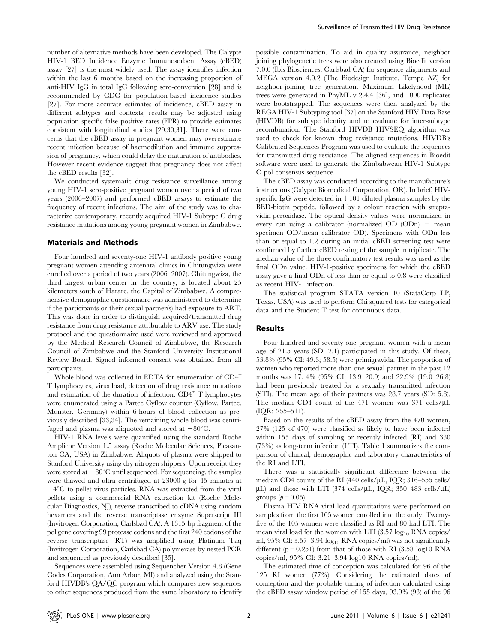number of alternative methods have been developed. The Calypte HIV-1 BED Incidence Enzyme Immunosorbent Assay (cBED) assay [27] is the most widely used. The assay identifies infection within the last 6 months based on the increasing proportion of anti-HIV IgG in total IgG following sero-conversion [28] and is recommended by CDC for population-based incidence studies [27]. For more accurate estimates of incidence, cBED assay in different subtypes and contexts, results may be adjusted using population specific false positive rates (FPR) to provide estimates consistent with longitudinal studies [29,30,31]. There were concerns that the cBED assay in pregnant women may overestimate recent infection because of haemodilution and immune suppression of pregnancy, which could delay the maturation of antibodies. However recent evidence suggest that pregnancy does not affect the cBED results [32].

We conducted systematic drug resistance surveillance among young HIV-1 sero-positive pregnant women over a period of two years (2006–2007) and performed cBED assays to estimate the frequency of recent infections. The aim of the study was to characterize contemporary, recently acquired HIV-1 Subtype C drug resistance mutations among young pregnant women in Zimbabwe.

#### Materials and Methods

Four hundred and seventy-one HIV-1 antibody positive young pregnant women attending antenatal clinics in Chitungwiza were enrolled over a period of two years (2006–2007). Chitungwiza, the third largest urban center in the country, is located about 25 kilometers south of Harare, the Capital of Zimbabwe. A comprehensive demographic questionnaire was administered to determine if the participants or their sexual partner(s) had exposure to ART. This was done in order to distinguish acquired/transmitted drug resistance from drug resistance attributable to ARV use. The study protocol and the questionnaire used were reviewed and approved by the Medical Research Council of Zimbabwe, the Research Council of Zimbabwe and the Stanford University Institutional Review Board. Signed informed consent was obtained from all participants.

Whole blood was collected in EDTA for enumeration of  $CD4^+$ T lymphocytes, virus load, detection of drug resistance mutations and estimation of the duration of infection.  $CD4^+$  T lymphocytes were enumerated using a Partec Cyflow counter (Cyflow, Partec, Munster, Germany) within 6 hours of blood collection as previously described [33,34]. The remaining whole blood was centrifuged and plasma was aliquoted and stored at  $-80^{\circ}$ C.

HIV-1 RNA levels were quantified using the standard Roche Amplicor Version 1.5 assay (Roche Molecular Sciences, Pleasanton CA, USA) in Zimbabwe. Aliquots of plasma were shipped to Stanford University using dry nitrogen shippers. Upon receipt they were stored at  $-80^{\circ}$ C until sequenced. For sequencing, the samples were thawed and ultra centrifuged at 23000 g for 45 minutes at  $-4$ °C to pellet virus particles. RNA was extracted from the viral pellets using a commercial RNA extraction kit (Roche Molecular Diagnostics, NJ), reverse transcribed to cDNA using random hexamers and the reverse transcriptase enzyme Superscript III (Invitrogen Corporation, Carlsbad CA). A 1315 bp fragment of the pol gene covering 99 protease codons and the first 240 codons of the reverse transcriptase (RT) was amplified using Platinum Taq (Invitrogen Corporation, Carlsbad CA) polymerase by nested PCR and sequenced as previously described [35].

Sequences were assembled using Sequencher Version 4.8 (Gene Codes Corporation, Ann Arbor, MI) and analyzed using the Stanford HIVDB's QA/QC program which compares new sequences to other sequences produced from the same laboratory to identify possible contamination. To aid in quality assurance, neighbor joining phylogenetic trees were also created using Bioedit version 7.0.0 (Ibis Biosciences, Carlsbad CA) for sequence alignments and MEGA version 4.0.2 (The Biodesign Institute, Tempe AZ) for neighbor-joining tree generation. Maximum Likelyhood (ML) trees were generated in PhyML v 2.4.4 [36], and 1000 replicates were bootstrapped. The sequences were then analyzed by the REGA HIV-1 Subtyping tool [37] on the Stanford HIV Data Base (HIVDB) for subtype identity and to evaluate for inter-subtype recombination. The Stanford HIVDB HIVSEQ algorithm was used to check for known drug resistance mutations. HIVDB's Calibrated Sequences Program was used to evaluate the sequences for transmitted drug resistance. The aligned sequences in Bioedit software were used to generate the Zimbabwean HIV-1 Subtype C pol consensus sequence.

The cBED assay was conducted according to the manufacture's instructions (Calypte Biomedical Corporation, OR). In brief, HIVspecific IgG were detected in 1:101 diluted plasma samples by the BED-biotin peptide, followed by a colour reaction with streptavidin-peroxidase. The optical density values were normalized in every run using a calibrator (normalized OD (ODn) = mean specimen OD/mean calibrator OD). Specimens with ODn less than or equal to 1.2 during an initial cBED screening test were confirmed by further cBED testing of the sample in triplicate. The median value of the three confirmatory test results was used as the final ODn value. HIV-1-positive specimens for which the cBED assay gave a final ODn of less than or equal to 0.8 were classified as recent HIV-1 infection.

The statistical program STATA version 10 (StataCorp LP, Texas, USA) was used to perform Chi squared tests for categorical data and the Student T test for continuous data.

## Results

Four hundred and seventy-one pregnant women with a mean age of 21.5 years (SD: 2.1) participated in this study. Of these, 53.8% (95% CI: 49.3; 58.5) were primigravida. The proportion of women who reported more than one sexual partner in the past 12 months was 17. 4% (95% CI: 13.9–20.9) and 22.9% (19.0–26.8) had been previously treated for a sexually transmitted infection (STI). The mean age of their partners was 28.7 years (SD: 5.8). The median CD4 count of the 471 women was 371 cells/ $\mu$ L (IQR: 255–511).

Based on the results of the cBED assay from the 470 women, 27% (125 of 470) were classified as likely to have been infected within 155 days of sampling or recently infected (RI) and 330 (73%) as long-term infection (LTI). Table 1 summarizes the comparison of clinical, demographic and laboratory characteristics of the RI and LTI.

There was a statistically significant difference between the median CD4 counts of the RI (440 cells/ $\mu$ L, IQR; 316–555 cells/  $\mu$ L) and those with LTI (374 cells/ $\mu$ L, IQR; 350–483 cells/ $\mu$ L) groups ( $p = 0.05$ ).

Plasma HIV RNA viral load quantitations were performed on samples from the first 105 women enrolled into the study. Twentyfive of the 105 women were classified as RI and 80 had LTI. The mean viral load for the women with LTI (3.57  $log_{10}$  RNA copies/ ml, 95% CI: 3.57-3.94  $log_{10}$  RNA copies/ml) was not significantly different  $(p = 0.251)$  from that of those with RI (3.58 log10 RNA copies/ml, 95% CI: 3.21–3.94 log10 RNA copies/ml).

The estimated time of conception was calculated for 96 of the 125 RI women (77%). Considering the estimated dates of conception and the probable timing of infection calculated using the cBED assay window period of 155 days, 93.9% (93) of the 96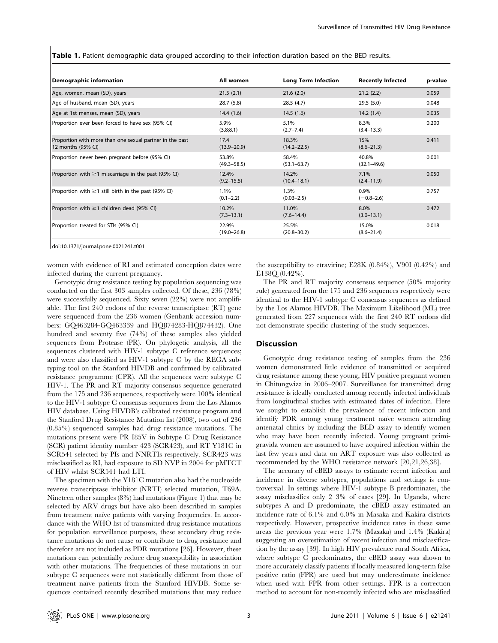Table 1. Patient demographic data grouped according to their infection duration based on the BED results.

| Demographic information                                                        | All women                | <b>Long Term Infection</b> | <b>Recently Infected</b> | p-value |
|--------------------------------------------------------------------------------|--------------------------|----------------------------|--------------------------|---------|
| Age, women, mean (SD), years                                                   | 21.5(2.1)                | 21.6(2.0)                  | 21.2(2.2)                | 0.059   |
| Age of husband, mean (SD), years                                               | 28.7(5.8)                | 28.5(4.7)                  | 29.5(5.0)                | 0.048   |
| Age at 1st menses, mean (SD), years                                            | 14.4(1.6)                | 14.5(1.6)                  | 14.2(1.4)                | 0.035   |
| Proportion ever been forced to have sex (95% CI)                               | 5.9%<br>(3.8; 8.1)       | 5.1%<br>$(2.7 - 7.4)$      | 8.3%<br>$(3.4 - 13.3)$   | 0.200   |
| Proportion with more than one sexual partner in the past<br>12 months (95% CI) | 17.4<br>$(13.9 - 20.9)$  | 18.3%<br>$(14.2 - 22.5)$   | 15%<br>$(8.6 - 21.3)$    | 0.411   |
| Proportion never been pregnant before (95% CI)                                 | 53.8%<br>$(49.3 - 58.5)$ | 58.4%<br>$(53.1 - 63.7)$   | 40.8%<br>$(32.1 - 49.6)$ | 0.001   |
| Proportion with $\geq 1$ miscarriage in the past (95% CI)                      | 12.4%<br>$(9.2 - 15.5)$  | 14.2%<br>$(10.4 - 18.1)$   | 7.1%<br>$(2.4 - 11.9)$   | 0.050   |
| Proportion with $\geq$ 1 still birth in the past (95% CI)                      | 1.1%<br>$(0.1 - 2.2)$    | 1.3%<br>$(0.03 - 2.5)$     | 0.9%<br>$(-0.8-2.6)$     | 0.757   |
| Proportion with $\geq 1$ children dead (95% CI)                                | 10.2%<br>$(7.3 - 13.1)$  | 11.0%<br>$(7.6 - 14.4)$    | 8.0%<br>$(3.0 - 13.1)$   | 0.472   |
| Proportion treated for STIs (95% CI)                                           | 22.9%<br>$(19.0 - 26.8)$ | 25.5%<br>$(20.8 - 30.2)$   | 15.0%<br>$(8.6 - 21.4)$  | 0.018   |

doi:10.1371/journal.pone.0021241.t001

women with evidence of RI and estimated conception dates were infected during the current pregnancy.

Genotypic drug resistance testing by population sequencing was conducted on the first 303 samples collected. Of these, 236 (78%) were successfully sequenced. Sixty seven (22%) were not amplifiable. The first 240 codons of the reverse transcriptase (RT) gene were sequenced from the 236 women (Genbank accession numbers: GQ463284-GQ463339 and HQ874283-HQ874432). One hundred and seventy five (74%) of these samples also yielded sequences from Protease (PR). On phylogetic analysis, all the sequences clustered with HIV-1 subtype C reference sequences; and were also classified as HIV-1 subtype C by the REGA subtyping tool on the Stanford HIVDB and confirmed by calibrated resistance programme (CPR). All the sequences were subtype C HIV-1. The PR and RT majority consensus sequence generated from the 175 and 236 sequences, respectively were 100% identical to the HIV-1 subtype C consensus sequences from the Los Alamos HIV database. Using HIVDB's calibrated resistance program and the Stanford Drug Resistance Mutation list (2008), two out of 236 (0.85%) sequenced samples had drug resistance mutations. The mutations present were PR I85V in Subtype C Drug Resistance (SCR) patient identity number 423 (SCR423), and RT Y181C in SCR541 selected by PIs and NNRTIs respectively. SCR423 was misclassified as RI, had exposure to SD NVP in 2004 for pMTCT of HIV whilst SCR541 had LTI.

The specimen with the Y181C mutation also had the nucleoside reverse transcriptase inhibitor (NRTI) selected mutation, T69A. Nineteen other samples (8%) had mutations (Figure 1) that may be selected by ARV drugs but have also been described in samples from treatment naïve patients with varying frequencies. In accordance with the WHO list of transmitted drug resistance mutations for population surveillance purposes, these secondary drug resistance mutations do not cause or contribute to drug resistance and therefore are not included as PDR mutations [26]. However, these mutations can potentially reduce drug susceptibility in association with other mutations. The frequencies of these mutations in our subtype C sequences were not statistically different from those of treatment naïve patients from the Stanford HIVDB. Some sequences contained recently described mutations that may reduce

the susceptibility to etravirine; E28K (0.84%), V90I (0.42%) and E138Q (0.42%).

The PR and RT majority consensus sequence (50% majority rule) generated from the 175 and 236 sequences respectively were identical to the HIV-1 subtype C consensus sequences as defined by the Los Alamos HIVDB. The Maximum Likelihood (ML) tree generated from 227 sequences with the first 240 RT codons did not demonstrate specific clustering of the study sequences.

#### **Discussion**

Genotypic drug resistance testing of samples from the 236 women demonstrated little evidence of transmitted or acquired drug resistance among these young, HIV positive pregnant women in Chitungwiza in 2006–2007. Surveillance for transmitted drug resistance is ideally conducted among recently infected individuals from longitudinal studies with estimated dates of infection. Here we sought to establish the prevalence of recent infection and identify PDR among young treatment naïve women attending antenatal clinics by including the BED assay to identify women who may have been recently infected. Young pregnant primigravida women are assumed to have acquired infection within the last few years and data on ART exposure was also collected as recommended by the WHO resistance network [20,21,26,38].

The accuracy of cBED assays to estimate recent infection and incidence in diverse subtypes, populations and settings is controversial. In settings where HIV-1 subtype B predominates, the assay misclassifies only 2–3% of cases [29]. In Uganda, where subtypes A and D predominate, the cBED assay estimated an incidence rate of 6.1% and 6.0% in Masaka and Kakira districts respectively. However, prospective incidence rates in these same areas the previous year were 1.7% (Masaka) and 1.4% (Kakira) suggesting an overestimation of recent infection and misclassification by the assay [39]. In high HIV prevalence rural South Africa, where subtype C predominates, the cBED assay was shown to more accurately classify patients if locally measured long-term false positive ratio (FPR) are used but may underestimate incidence when used with FPR from other settings. FPR is a correction method to account for non-recently infected who are misclassified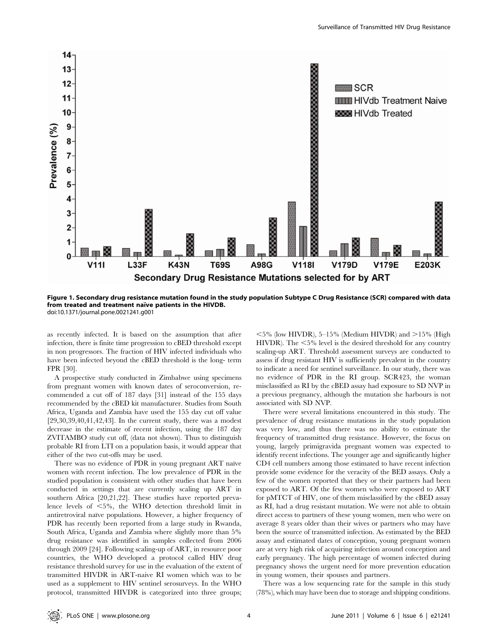

Figure 1. Secondary drug resistance mutation found in the study population Subtype C Drug Resistance (SCR) compared with data from treated and treatment naïve patients in the HIVDB. doi:10.1371/journal.pone.0021241.g001

as recently infected. It is based on the assumption that after infection, there is finite time progression to cBED threshold except in non progressors. The fraction of HIV infected individuals who have been infected beyond the cBED threshold is the long- term FPR [30].

A prospective study conducted in Zimbabwe using specimens from pregnant women with known dates of seroconversion, recommended a cut off of 187 days [31] instead of the 155 days recommended by the cBED kit manufacturer. Studies from South Africa, Uganda and Zambia have used the 155 day cut off value [29,30,39,40,41,42,43]. In the current study, there was a modest decrease in the estimate of recent infection, using the 187 day ZVITAMBO study cut off, (data not shown). Thus to distinguish probable RI from LTI on a population basis, it would appear that either of the two cut-offs may be used.

There was no evidence of PDR in young pregnant ART naïve women with recent infection. The low prevalence of PDR in the studied population is consistent with other studies that have been conducted in settings that are currently scaling up ART in southern Africa [20,21,22]. These studies have reported prevalence levels of  $\leq 5\%$ , the WHO detection threshold limit in antiretroviral naïve populations. However, a higher frequency of PDR has recently been reported from a large study in Rwanda, South Africa, Uganda and Zambia where slightly more than 5% drug resistance was identified in samples collected from 2006 through 2009 [24]. Following scaling-up of ART, in resource poor countries, the WHO developed a protocol called HIV drug resistance threshold survey for use in the evaluation of the extent of transmitted HIVDR in ART-naive RI women which was to be used as a supplement to HIV sentinel serosurveys. In the WHO protocol, transmitted HIVDR is categorized into three groups;

 $<$  5% (low HIVDR), 5–15% (Medium HIVDR) and  $>$ 15% (High HIVDR). The  $< 5\%$  level is the desired threshold for any country scaling-up ART. Threshold assessment surveys are conducted to assess if drug resistant HIV is sufficiently prevalent in the country to indicate a need for sentinel surveillance. In our study, there was no evidence of PDR in the RI group. SCR423, the woman misclassified as RI by the cBED assay had exposure to SD NVP in a previous pregnancy, although the mutation she harbours is not associated with SD NVP.

There were several limitations encountered in this study. The prevalence of drug resistance mutations in the study population was very low, and thus there was no ability to estimate the frequency of transmitted drug resistance. However, the focus on young, largely primigravida pregnant women was expected to identify recent infections. The younger age and significantly higher CD4 cell numbers among those estimated to have recent infection provide some evidence for the veracity of the BED assays. Only a few of the women reported that they or their partners had been exposed to ART. Of the few women who were exposed to ART for pMTCT of HIV, one of them misclassified by the cBED assay as RI, had a drug resistant mutation. We were not able to obtain direct access to partners of these young women, men who were on average 8 years older than their wives or partners who may have been the source of transmitted infection. As estimated by the BED assay and estimated dates of conception, young pregnant women are at very high risk of acquiring infection around conception and early pregnancy. The high percentage of women infected during pregnancy shows the urgent need for more prevention education in young women, their spouses and partners.

There was a low sequencing rate for the sample in this study (78%), which may have been due to storage and shipping conditions.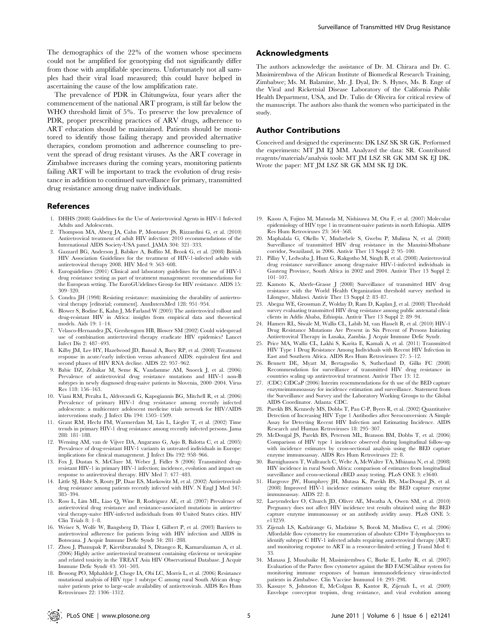The demographics of the 22% of the women whose specimens could not be amplified for genotyping did not significantly differ from those with amplifiable specimens. Unfortunately not all samples had their viral load measured; this could have helped in ascertaining the cause of the low amplification rate.

The prevalence of PDR in Chitungwiza, four years after the commencement of the national ART program, is still far below the WHO threshold limit of 5%. To preserve the low prevalence of PDR, proper prescribing practices of ARV drugs, adherence to ART education should be maintained. Patients should be monitored to identify those failing therapy and provided alternative therapies, condom promotion and adherence counseling to prevent the spread of drug resistant viruses. As the ART coverage in Zimbabwe increases during the coming years, monitoring patients failing ART will be important to track the evolution of drug resistance in addition to continued surveillance for primary, transmitted drug resistance among drug naïve individuals.

#### References

- 1. DHHS (2008) Guidelines for the Use of Antiretroviral Agents in HIV-1 Infected Adults and Adolescents.
- 2. Thompson MA, Aberg JA, Cahn P, Montaner JS, Rizzardini G, et al. (2010) Antiretroviral treatment of adult HIV infection: 2010 recommendations of the International AIDS Society-USA panel. JAMA 304: 321–333.
- 3. Gazzard BG, Anderson J, Babiker A, Boffito M, Brook G, et al. (2008) British HIV Association Guidelines for the treatment of HIV-1-infected adults with antiretroviral therapy 2008. HIV Med 9: 563–608.
- 4. Euroguidelines (2001) Clinical and laboratory guidelines for the use of HIV-1 drug resistance testing as part of treatment management: recommendations for the European setting. The EuroGUidelines Group for HIV resistance. AIDS 15: 309–320.
- 5. Condra JH (1998) Resisting resistance: maximizing the durability of antiretroviral therapy [editorial; comment]. AnnInternMed 128: 951–954.
- 6. Blower S, Bodine E, Kahn J, McFarland W (2005) The antiretroviral rollout and drug-resistant HIV in Africa: insights from empirical data and theoretical models. Aids 19: 1–14.
- 7. Velasco-Hernandez JX, Gershengorn HB, Blower SM (2002) Could widespread use of combination antiretroviral therapy eradicate HIV epidemics? Lancet Infect Dis 2: 487–493.
- 8. Kilby JM, Lee HY, Hazelwood JD, Bansal A, Bucy RP, et al. (2008) Treatment response in acute/early infection versus advanced AIDS: equivalent first and second phases of HIV RNA decline. AIDS 22: 957–962.
- 9. Babic DZ, Zelnikar M, Seme K, Vandamme AM, Snoeck J, et al. (2006) Prevalence of antiretroviral drug resistance mutations and HIV-1 non-B subtypes in newly diagnosed drug-naive patients in Slovenia, 2000–2004. Virus Res 118: 156–163.
- 10. Viani RM, Peralta L, Aldrovandi G, Kapogiannis BG, Mitchell R, et al. (2006) Prevalence of primary HIV-1 drug resistance among recently infected adolescents: a multicenter adolescent medicine trials network for HIV/AIDS interventions study. J Infect Dis 194: 1505–1509.
- 11. Grant RM, Hecht FM, Warmerdam M, Liu L, Liegler T, et al. (2002) Time trends in primary HIV-1 drug resistance among recently infected persons. Jama 288: 181–188.
- 12. Wensing AM, van de Vijver DA, Angarano G, Asjo B, Balotta C, et al. (2005) Prevalence of drug-resistant HIV-1 variants in untreated individuals in Europe: implications for clinical management. J Infect Dis 192: 958–966.
- 13. Fox J, Dustan S, McClure M, Weber J, Fidler S (2006) Transmitted drugresistant HIV-1 in primary HIV-1 infection; incidence, evolution and impact on response to antiretroviral therapy. HIV Med 7: 477–483.
- 14. Little SJ, Holte S, Routy JP, Daar ES, Markowitz M, et al. (2002) Antiretroviraldrug resistance among patients recently infected with HIV. N Engl J Med 347: 385–394.
- 15. Ross L, Lim ML, Liao Q, Wine B, Rodriguez AE, et al. (2007) Prevalence of antiretroviral drug resistance and resistance-associated mutations in antiretroviral therapy-naive HIV-infected individuals from 40 United States cities. HIV Clin Trials 8: 1–8.
- 16. Weiser S, Wolfe W, Bangsberg D, Thior I, Gilbert P, et al. (2003) Barriers to antiretroviral adherence for patients living with HIV infection and AIDS in Botswana. J Acquir Immune Defic Syndr 34: 281–288.
- 17. Zhou J, Phanupak P, Kiertiburanakul S, Ditangco R, Kamarulzaman A, et al. (2006) Highly active antiretroviral treatment containing efavirenz or nevirapine and related toxicity in the TREAT Asia HIV Observational Database. J Acquir Immune Defic Syndr 43: 501–503.
- 18. Bessong PO, Mphahlele J, Choge IA, Obi LC, Morris L, et al. (2006) Resistance mutational analysis of HIV type 1 subtype C among rural South African drugnaive patients prior to large-scale availability of antiretrovirals. AIDS Res Hum Retroviruses 22: 1306–1312.

## Acknowledgments

The authors acknowledge the assistance of Dr. M. Chirara and Dr. C. Masimirembwa of the African Institute of Biomedical Research Training, Zimbabwe; Ms. M. Balamine, Mr. J. Dyal, Dr. S. Hynes, Ms. B. Enge of the Viral and Rickettsial Disease Laboratory of the California Public Health Department, USA, and Dr. Tulio de Oliveira for critical review of the manuscript. The authors also thank the women who participated in the study.

Surveillance of Transmitted HIV Drug Resistance

#### Author Contributions

Conceived and designed the experiments: DK LSZ SK SR GK. Performed the experiments: MT JM EJ MM. Analyzed the data: SR. Contributed reagents/materials/analysis tools: MT JM LSZ SR GK MM SK EJ DK. Wrote the paper: MT JM LSZ SR GK MM SK EJ DK.

- 19. Kassu A, Fujino M, Matsuda M, Nishizawa M, Ota F, et al. (2007) Molecular epidemiology of HIV type 1 in treatment-naive patients in north Ethiopia. AIDS Res Hum Retroviruses 23: 564–568.
- 20. Maphalala G, Okello V, Mndzebele S, Gwebu P, Mulima N, et al. (2008) Surveillance of transmitted HIV drug resistance in the Manzini-Mbabane corridor, Swaziland, in 2006. Antivir Ther 13 Suppl 2: 95–100.
- 21. Pillay V, Ledwaba J, Hunt G, Rakgotho M, Singh B, et al. (2008) Antiretroviral drug resistance surveillance among drug-naive HIV-1-infected individuals in Gauteng Province, South Africa in 2002 and 2004. Antivir Ther 13 Suppl 2: 101–107.
- 22. Kamoto K, Aberle-Grasse J (2008) Surveillance of transmitted HIV drug resistance with the World Health Organization threshold survey method in Lilongwe, Malawi. Antivir Ther 13 Suppl 2: 83–87.
- 23. Abegaz WE, Grossman Z, Wolday D, Ram D, Kaplan J, et al. (2008) Threshold survey evaluating transmitted HIV drug resistance among public antenatal clinic clients in Addis Ababa, Ethiopia. Antivir Ther 13 Suppl 2: 89–94.
- 24. Hamers RL, Siwale M, Wallis CL, Labib M, van Hasselt R, et al. (2010) HIV-1 Drug Resistance Mutations Are Present in Six Percent of Persons Initiating Antiretroviral Therapy in Lusaka, Zambia. J Acquir Immune Defic Syndr.
- 25. Price MA, Wallis CL, Lakhi S, Karita E, Kamali A, et al. (2011) Transmitted HIV Type 1 Drug Resistance Among Individuals with Recent HIV Infection in East and Southern Africa. AIDS Res Hum Retroviruses 27: 5–12.
- 26. Bennett DE, Myatt M, Bertagnolio S, Sutherland D, Gilks FC (2008) Recommendation for surveillance of transmitted HIV drug resistance in countries scaling up antiretroviral treatment. Antivir Ther 13: 12.
- 27. (CDC) CfDCaP (2006) Interim reocmmendations for th use of the BED capture enzymeimmunoassay for incidence estimation and surveillance. Statement from the Surveillance and Survey and the Laboratory Working Groups to the Global AIDS Coordinator. Atlanta: CDC.
- 28. Parekh BS, Kennedy MS, Dobbs T, Pau C-P, Byers R, et al. (2002) Quantitative Detection of Increasing HIV Type 1 Antibodies after Seroconversion: A Simple Assay for Detecting Recent HIV Infection and Estimating Incidence. AIDS Research and Human Retroviruses 18: 295–307.
- 29. McDougal JS, Parekh BS, Peterson ML, Branson BM, Dobbs T, et al. (2006) Comparison of HIV type 1 incidence observed during longitudinal follow-up with incidence estimates by cross-sectional analysis using the BED capture enzyme immunoassay. AIDS Res Hum Retroviruses 22: 8.
- 30. Barnighausen T, Wallrauch C, Welte A, McWalter TA, Mbizana N, et al. (2008) HIV incidence in rural South Africa: comparison of estimates from longitudinal surveillance and cross-sectional cBED assay testing. PLoS ONE 3: e3640.
- 31. Hargrove JW, Humphrey JH, Mutasa K, Parekh BS, MacDougal JS, et al. (2008) Improved HIV-1 incidence estimates using the BED capture enzyme immunoassay. AIDS 22: 8.
- 32. Laeyendecker O, Church JD, Oliver AE, Mwatha A, Owen SM, et al. (2010) Pregnancy does not affect HIV incidence test results obtained using the BED capture enzyme immunoassay or an antibody avidity assay. PLoS ONE 5: e13259.
- 33. Zijenah LS, Kadzirange G, Madzime S, Borok M, Mudiwa C, et al. (2006) Affordable flow cytometry for enumeration of absolute CD4+ T-lymphocytes to identify subtype C HIV-1 infected adults requiring antiretroviral therapy (ART) and monitoring response to ART in a resource-limited setting. J Transl Med 4: 33.
- 34. Manasa J, Musabaike H, Masimirembwa C, Burke E, Luthy R, et al. (2007) Evaluation of the Partec flow cytometer against the BD FACSCalibur system for monitoring immune responses of human immunodeficiency virus-infected patients in Zimbabwe. Clin Vaccine Immunol 14: 293–298.
- 35. Kassaye S, Johnston E, McColgan B, Kantor R, Zijenah L, et al. (2009) Envelope coreceptor tropism, drug resistance, and viral evolution among